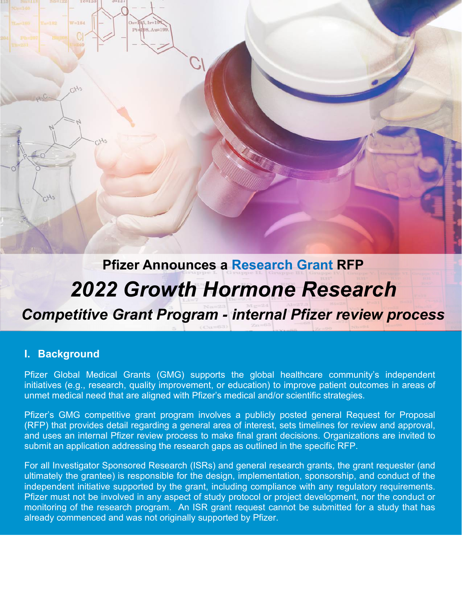# **Pfizer Announces a Research Grant RFP** *2022 Growth Hormone Research*

 $85.11 = 1$ Pt=198, Au=19

*Competitive Grant Program - internal Pfizer review process*

#### **I. Background**

Pfizer Global Medical Grants (GMG) supports the global healthcare community's independent initiatives (e.g., research, quality improvement, or education) to improve patient outcomes in areas of unmet medical need that are aligned with Pfizer's medical and/or scientific strategies.

Pfizer's GMG competitive grant program involves a publicly posted general Request for Proposal (RFP) that provides detail regarding a general area of interest, sets timelines for review and approval, and uses an internal Pfizer review process to make final grant decisions. Organizations are invited to submit an application addressing the research gaps as outlined in the specific RFP.

For all Investigator Sponsored Research (ISRs) and general research grants, the grant requester (and ultimately the grantee) is responsible for the design, implementation, sponsorship, and conduct of the independent initiative supported by the grant, including compliance with any regulatory requirements. Pfizer must not be involved in any aspect of study protocol or project development, nor the conduct or monitoring of the research program. An ISR grant request cannot be submitted for a study that has already commenced and was not originally supported by Pfizer.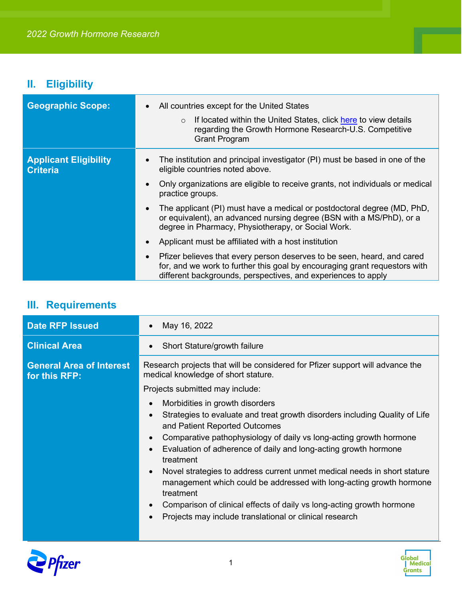## **II. Eligibility**

| <b>Geographic Scope:</b>                        | All countries except for the United States<br>$\bullet$<br>If located within the United States, click here to view details<br>$\circ$<br>regarding the Growth Hormone Research-U.S. Competitive<br><b>Grant Program</b>                |
|-------------------------------------------------|----------------------------------------------------------------------------------------------------------------------------------------------------------------------------------------------------------------------------------------|
| <b>Applicant Eligibility</b><br><b>Criteria</b> | The institution and principal investigator (PI) must be based in one of the<br>eligible countries noted above.<br>Only organizations are eligible to receive grants, not individuals or medical<br>$\bullet$                           |
|                                                 | practice groups.<br>The applicant (PI) must have a medical or postdoctoral degree (MD, PhD,<br>$\bullet$<br>or equivalent), an advanced nursing degree (BSN with a MS/PhD), or a<br>degree in Pharmacy, Physiotherapy, or Social Work. |
|                                                 | Applicant must be affiliated with a host institution<br>$\bullet$                                                                                                                                                                      |
|                                                 | Pfizer believes that every person deserves to be seen, heard, and cared<br>$\bullet$<br>for, and we work to further this goal by encouraging grant requestors with<br>different backgrounds, perspectives, and experiences to apply    |

## **III. Requirements**

| <b>Date RFP Issued</b>                           | May 16, 2022                                                                                                                                                                                                                                                                                                                                                                                                                                                                                                                                                           |
|--------------------------------------------------|------------------------------------------------------------------------------------------------------------------------------------------------------------------------------------------------------------------------------------------------------------------------------------------------------------------------------------------------------------------------------------------------------------------------------------------------------------------------------------------------------------------------------------------------------------------------|
| <b>Clinical Area</b>                             | Short Stature/growth failure                                                                                                                                                                                                                                                                                                                                                                                                                                                                                                                                           |
| <b>General Area of Interest</b><br>for this RFP: | Research projects that will be considered for Pfizer support will advance the<br>medical knowledge of short stature.<br>Projects submitted may include:<br>Morbidities in growth disorders                                                                                                                                                                                                                                                                                                                                                                             |
|                                                  | Strategies to evaluate and treat growth disorders including Quality of Life<br>and Patient Reported Outcomes<br>Comparative pathophysiology of daily vs long-acting growth hormone<br>Evaluation of adherence of daily and long-acting growth hormone<br>treatment<br>Novel strategies to address current unmet medical needs in short stature<br>management which could be addressed with long-acting growth hormone<br>treatment<br>Comparison of clinical effects of daily vs long-acting growth hormone<br>Projects may include translational or clinical research |



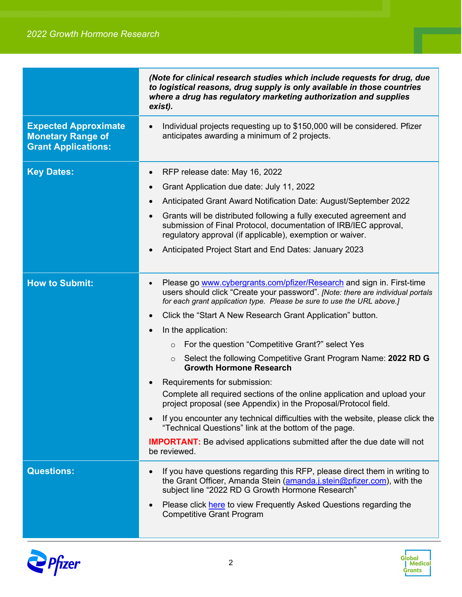|                                                                                       | (Note for clinical research studies which include requests for drug, due<br>to logistical reasons, drug supply is only available in those countries<br>where a drug has regulatory marketing authorization and supplies<br>exist). |
|---------------------------------------------------------------------------------------|------------------------------------------------------------------------------------------------------------------------------------------------------------------------------------------------------------------------------------|
| <b>Expected Approximate</b><br><b>Monetary Range of</b><br><b>Grant Applications:</b> | Individual projects requesting up to \$150,000 will be considered. Pfizer<br>$\bullet$<br>anticipates awarding a minimum of 2 projects.                                                                                            |
| <b>Key Dates:</b>                                                                     | RFP release date: May 16, 2022<br>$\bullet$                                                                                                                                                                                        |
|                                                                                       | Grant Application due date: July 11, 2022<br>$\bullet$                                                                                                                                                                             |
|                                                                                       | Anticipated Grant Award Notification Date: August/September 2022                                                                                                                                                                   |
|                                                                                       | Grants will be distributed following a fully executed agreement and<br>$\bullet$<br>submission of Final Protocol, documentation of IRB/IEC approval,<br>regulatory approval (if applicable), exemption or waiver.                  |
|                                                                                       | Anticipated Project Start and End Dates: January 2023                                                                                                                                                                              |
| <b>How to Submit:</b>                                                                 | Please go www.cybergrants.com/pfizer/Research and sign in. First-time<br>users should click "Create your password". [Note: there are individual portals<br>for each grant application type. Please be sure to use the URL above.]  |
|                                                                                       | Click the "Start A New Research Grant Application" button.<br>$\bullet$                                                                                                                                                            |
|                                                                                       | In the application:                                                                                                                                                                                                                |
|                                                                                       | For the question "Competitive Grant?" select Yes<br>$\circ$                                                                                                                                                                        |
|                                                                                       | Select the following Competitive Grant Program Name: 2022 RD G<br>$\circ$<br><b>Growth Hormone Research</b>                                                                                                                        |
|                                                                                       | Requirements for submission:                                                                                                                                                                                                       |
|                                                                                       | Complete all required sections of the online application and upload your<br>project proposal (see Appendix) in the Proposal/Protocol field.                                                                                        |
|                                                                                       | If you encounter any technical difficulties with the website, please click the<br>"Technical Questions" link at the bottom of the page.                                                                                            |
|                                                                                       | <b>IMPORTANT:</b> Be advised applications submitted after the due date will not<br>be reviewed.                                                                                                                                    |
| <b>Questions:</b>                                                                     | If you have questions regarding this RFP, please direct them in writing to<br>the Grant Officer, Amanda Stein (amanda.j.stein@pfizer.com), with the<br>subject line "2022 RD G Growth Hormone Research"                            |
|                                                                                       | Please click here to view Frequently Asked Questions regarding the<br><b>Competitive Grant Program</b>                                                                                                                             |



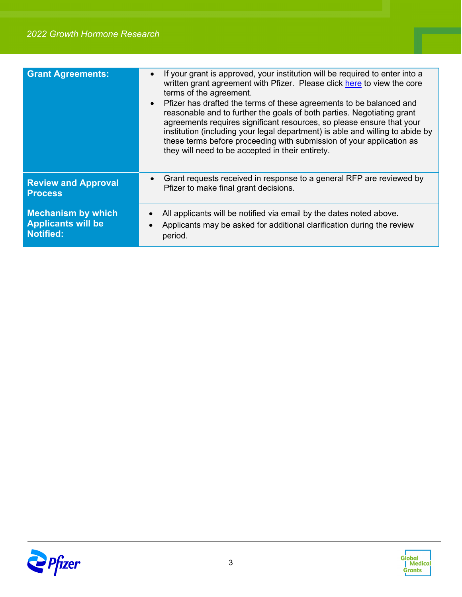| <b>Grant Agreements:</b>   | If your grant is approved, your institution will be required to enter into a<br>written grant agreement with Pfizer. Please click here to view the core<br>terms of the agreement.<br>Pfizer has drafted the terms of these agreements to be balanced and<br>reasonable and to further the goals of both parties. Negotiating grant<br>agreements requires significant resources, so please ensure that your<br>institution (including your legal department) is able and willing to abide by<br>these terms before proceeding with submission of your application as<br>they will need to be accepted in their entirety. |
|----------------------------|---------------------------------------------------------------------------------------------------------------------------------------------------------------------------------------------------------------------------------------------------------------------------------------------------------------------------------------------------------------------------------------------------------------------------------------------------------------------------------------------------------------------------------------------------------------------------------------------------------------------------|
| <b>Review and Approval</b> | Grant requests received in response to a general RFP are reviewed by                                                                                                                                                                                                                                                                                                                                                                                                                                                                                                                                                      |
| <b>Process</b>             | Pfizer to make final grant decisions.                                                                                                                                                                                                                                                                                                                                                                                                                                                                                                                                                                                     |
| <b>Mechanism by which</b>  | All applicants will be notified via email by the dates noted above.                                                                                                                                                                                                                                                                                                                                                                                                                                                                                                                                                       |
| <b>Applicants will be</b>  | Applicants may be asked for additional clarification during the review                                                                                                                                                                                                                                                                                                                                                                                                                                                                                                                                                    |
| <b>Notified:</b>           | period.                                                                                                                                                                                                                                                                                                                                                                                                                                                                                                                                                                                                                   |



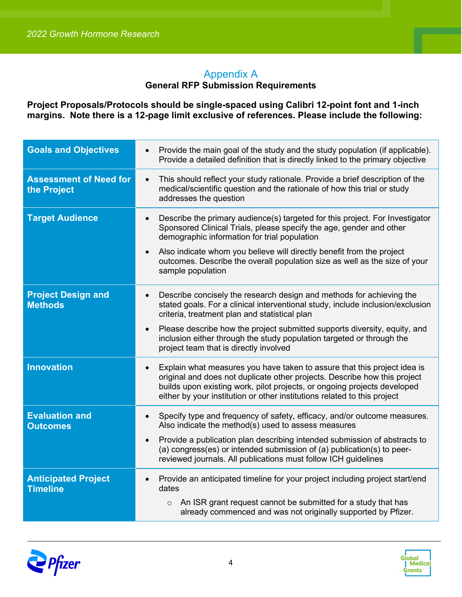### Appendix A

#### **General RFP Submission Requirements**

**Project Proposals/Protocols should be single-spaced using Calibri 12-point font and 1-inch margins. Note there is a 12-page limit exclusive of references. Please include the following:**

| <b>Goals and Objectives</b>                   | Provide the main goal of the study and the study population (if applicable).<br>$\bullet$<br>Provide a detailed definition that is directly linked to the primary objective                                                                                                                                                |
|-----------------------------------------------|----------------------------------------------------------------------------------------------------------------------------------------------------------------------------------------------------------------------------------------------------------------------------------------------------------------------------|
| <b>Assessment of Need for</b><br>the Project  | This should reflect your study rationale. Provide a brief description of the<br>$\bullet$<br>medical/scientific question and the rationale of how this trial or study<br>addresses the question                                                                                                                            |
| <b>Target Audience</b>                        | Describe the primary audience(s) targeted for this project. For Investigator<br>$\bullet$<br>Sponsored Clinical Trials, please specify the age, gender and other<br>demographic information for trial population                                                                                                           |
|                                               | Also indicate whom you believe will directly benefit from the project<br>$\bullet$<br>outcomes. Describe the overall population size as well as the size of your<br>sample population                                                                                                                                      |
| <b>Project Design and</b><br><b>Methods</b>   | Describe concisely the research design and methods for achieving the<br>$\bullet$<br>stated goals. For a clinical interventional study, include inclusion/exclusion<br>criteria, treatment plan and statistical plan                                                                                                       |
|                                               | Please describe how the project submitted supports diversity, equity, and<br>$\bullet$<br>inclusion either through the study population targeted or through the<br>project team that is directly involved                                                                                                                  |
| <b>Innovation</b>                             | Explain what measures you have taken to assure that this project idea is<br>$\bullet$<br>original and does not duplicate other projects. Describe how this project<br>builds upon existing work, pilot projects, or ongoing projects developed<br>either by your institution or other institutions related to this project |
| <b>Evaluation and</b><br><b>Outcomes</b>      | Specify type and frequency of safety, efficacy, and/or outcome measures.<br>$\bullet$<br>Also indicate the method(s) used to assess measures                                                                                                                                                                               |
|                                               | Provide a publication plan describing intended submission of abstracts to<br>$\bullet$<br>(a) congress(es) or intended submission of (a) publication(s) to peer-<br>reviewed journals. All publications must follow ICH guidelines                                                                                         |
| <b>Anticipated Project</b><br><b>Timeline</b> | Provide an anticipated timeline for your project including project start/end<br>$\bullet$<br>dates                                                                                                                                                                                                                         |
|                                               | An ISR grant request cannot be submitted for a study that has<br>$\circ$<br>already commenced and was not originally supported by Pfizer.                                                                                                                                                                                  |